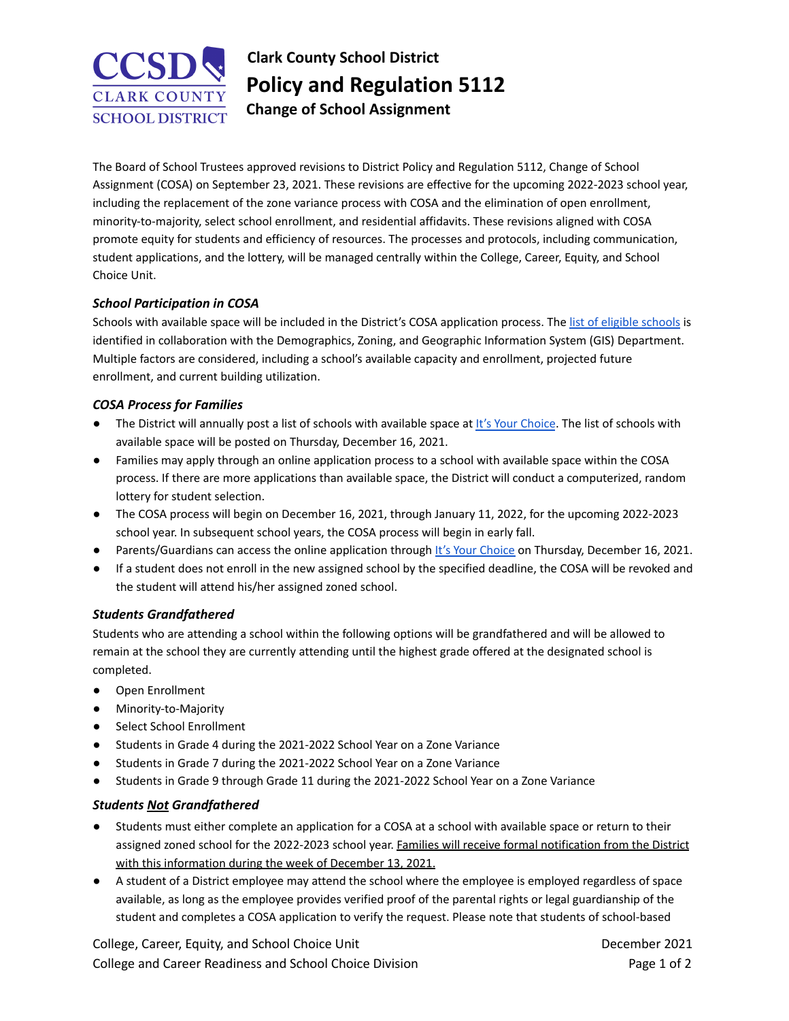# **CLARK COUNTY SCHOOL DISTRICT**

**Clark County School District Policy and Regulation 5112 Change of School Assignment**

The Board of School Trustees approved revisions to District Policy and Regulation 5112, Change of School Assignment (COSA) on September 23, 2021. These revisions are effective for the upcoming 2022-2023 school year, including the replacement of the zone variance process with COSA and the elimination of open enrollment, minority-to-majority, select school enrollment, and residential affidavits. These revisions aligned with COSA promote equity for students and efficiency of resources. The processes and protocols, including communication, student applications, and the lottery, will be managed centrally within the College, Career, Equity, and School Choice Unit.

### *School Participation in COSA*

Schools with available space will be included in the District's COSA application process. The list of eligible [schools](https://docs.google.com/spreadsheets/d/1utmYLYKKYuVGBFLjXwDBHSpjXUBfg7Uk4eOpwV1m9XQ/edit?usp=sharing) is identified in collaboration with the Demographics, Zoning, and Geographic Information System (GIS) Department. Multiple factors are considered, including a school's available capacity and enrollment, projected future enrollment, and current building utilization.

### *COSA Process for Families*

- The District will annually post a list of schools with available space at lt's Your [Choice](http://itsyourchoice.ccsd.net/). The list of schools with available space will be posted on Thursday, December 16, 2021.
- Families may apply through an online application process to a school with available space within the COSA process. If there are more applications than available space, the District will conduct a computerized, random lottery for student selection.
- The COSA process will begin on December 16, 2021, through January 11, 2022, for the upcoming 2022-2023 school year. In subsequent school years, the COSA process will begin in early fall.
- Parents/Guardians can access the online application through It's Your [Choice](http://itsyourchoice.ccsd.net/) on Thursday, December 16, 2021.
- If a student does not enroll in the new assigned school by the specified deadline, the COSA will be revoked and the student will attend his/her assigned zoned school.

# *Students Grandfathered*

Students who are attending a school within the following options will be grandfathered and will be allowed to remain at the school they are currently attending until the highest grade offered at the designated school is completed.

- Open Enrollment
- Minority-to-Majority
- Select School Enrollment
- Students in Grade 4 during the 2021-2022 School Year on a Zone Variance
- Students in Grade 7 during the 2021-2022 School Year on a Zone Variance
- Students in Grade 9 through Grade 11 during the 2021-2022 School Year on a Zone Variance

# *Students Not Grandfathered*

- Students must either complete an application for a COSA at a school with available space or return to their assigned zoned school for the 2022-2023 school year. Families will receive formal notification from the District with this information during the week of December 13, 2021.
- A student of a District employee may attend the school where the employee is employed regardless of space available, as long as the employee provides verified proof of the parental rights or legal guardianship of the student and completes a COSA application to verify the request. Please note that students of school-based

College, Career, Equity, and School Choice Unit **December 2021 December 2021** College and Career Readiness and School Choice Division **Page 1 of 2** and 2